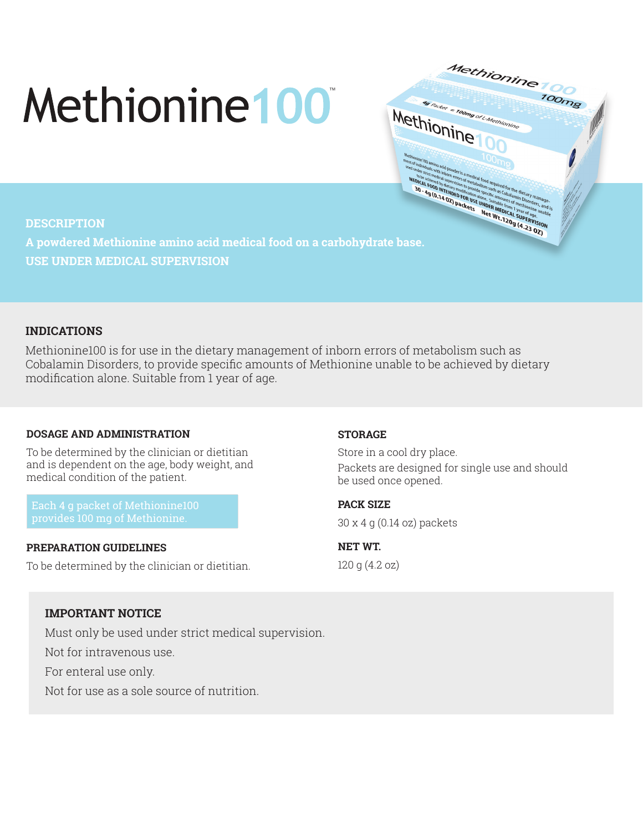# Methionine 100



#### **DESCRIPTION**

**USE UNDER MEDICAL SUPERVISION**

## **INDICATIONS**

Methionine100 is for use in the dietary management of inborn errors of metabolism such as Cobalamin Disorders, to provide specific amounts of Methionine unable to be achieved by dietary modification alone. Suitable from 1 year of age.

### **DOSAGE AND ADMINISTRATION**

To be determined by the clinician or dietitian and is dependent on the age, body weight, and medical condition of the patient.

Each 4 g packet of Methionine100 provides 100 mg of Methionine.

#### **PREPARATION GUIDELINES**

To be determined by the clinician or dietitian.

### **STORAGE**

Store in a cool dry place. Packets are designed for single use and should be used once opened.

**PACK SIZE** 

30 x 4 g (0.14 oz) packets

**NET WT.**  120 g (4.2 oz)

## **IMPORTANT NOTICE**

Must only be used under strict medical supervision.

Not for intravenous use.

For enteral use only.

Not for use as a sole source of nutrition.